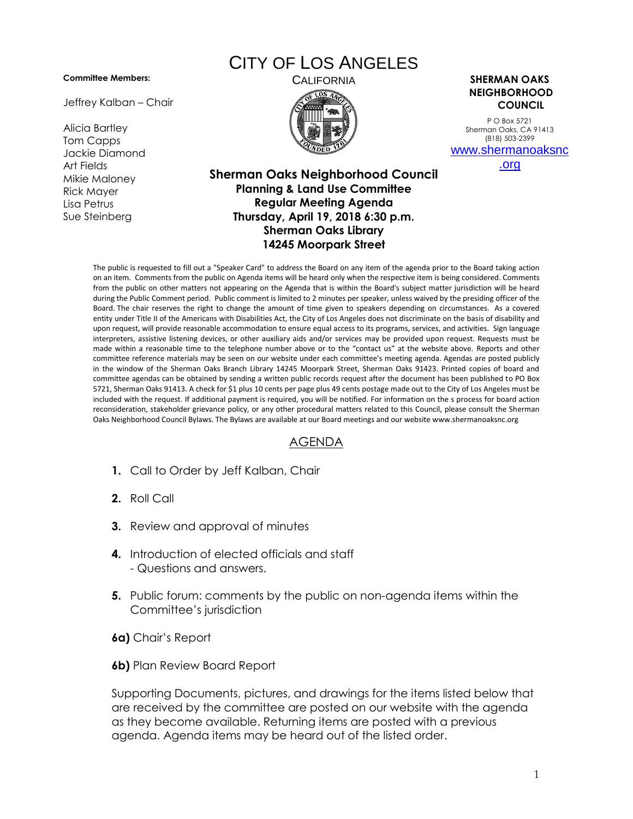## **Committee Members:**

Jeffrey Kalban – Chair

Alicia Bartley Tom Capps Jackie Diamond Art Fields Mikie Maloney Rick Mayer Lisa Petrus Sue Steinberg

## CITY OF LOS ANGELES



CALIFORNIA **SHERMAN OAKS NEIGHBORHOOD COUNCIL**

> P O Box 5721 Sherman Oaks, CA 91413 (818) 503-2399 [www.shermanoaksnc](http://www.shermanoaksnc.org/)

> > [.org](http://www.shermanoaksnc.org/)

## **Sherman Oaks Neighborhood Council Planning & Land Use Committee Regular Meeting Agenda Thursday, April 19, 2018 6:30 p.m. Sherman Oaks Library 14245 Moorpark Street**

The public is requested to fill out a "Speaker Card" to address the Board on any item of the agenda prior to the Board taking action on an item. Comments from the public on Agenda items will be heard only when the respective item is being considered. Comments from the public on other matters not appearing on the Agenda that is within the Board's subject matter jurisdiction will be heard during the Public Comment period. Public comment is limited to 2 minutes per speaker, unless waived by the presiding officer of the Board. The chair reserves the right to change the amount of time given to speakers depending on circumstances. As a covered entity under Title II of the Americans with Disabilities Act, the City of Los Angeles does not discriminate on the basis of disability and upon request, will provide reasonable accommodation to ensure equal access to its programs, services, and activities. Sign language interpreters, assistive listening devices, or other auxiliary aids and/or services may be provided upon request. Requests must be made within a reasonable time to the telephone number above or to the "contact us" at the website above. Reports and other committee reference materials may be seen on our website under each committee's meeting agenda. Agendas are posted publicly in the window of the Sherman Oaks Branch Library 14245 Moorpark Street, Sherman Oaks 91423. Printed copies of board and committee agendas can be obtained by sending a written public records request after the document has been published to PO Box 5721, Sherman Oaks 91413. A check for \$1 plus 10 cents per page plus 49 cents postage made out to the City of Los Angeles must be included with the request. If additional payment is required, you will be notified. For information on the s process for board action reconsideration, stakeholder grievance policy, or any other procedural matters related to this Council, please consult the Sherman Oaks Neighborhood Council Bylaws. The Bylaws are available at our Board meetings and our website www.shermanoaksnc.org

## AGENDA

- **1.** Call to Order by Jeff Kalban, Chair
- **2.** Roll Call
- **3.** Review and approval of minutes
- **4.** Introduction of elected officials and staff - Questions and answers.
- **5.** Public forum: comments by the public on non-agenda items within the Committee's jurisdiction
- **6a)** Chair's Report
- **6b)** Plan Review Board Report

Supporting Documents, pictures, and drawings for the items listed below that are received by the committee are posted on our website with the agenda as they become available. Returning items are posted with a previous agenda. Agenda items may be heard out of the listed order.